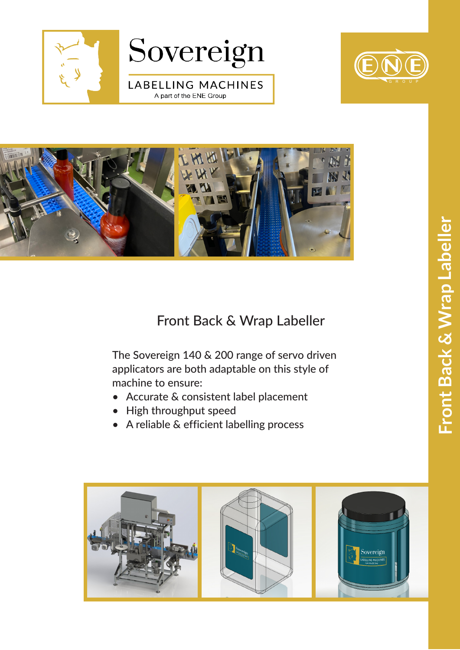





## Front Back & Wrap Labeller

The Sovereign 140 & 200 range of servo driven applicators are both adaptable on this style of machine to ensure:

- Accurate & consistent label placement
- High throughput speed
- A reliable & efficient labelling process